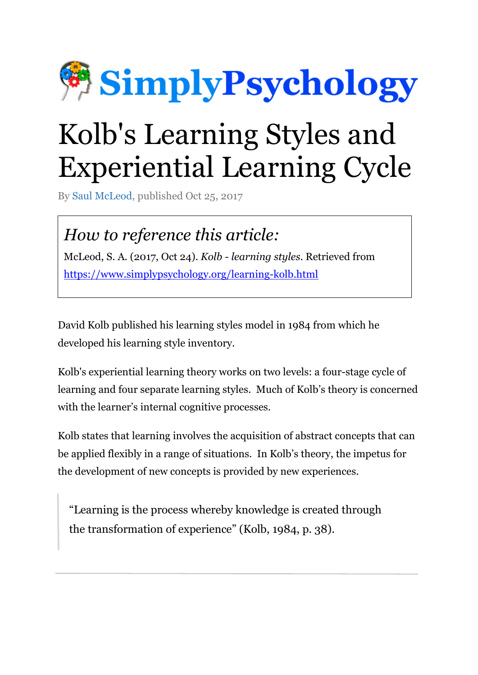

# Kolb's Learning Styles and Experiential Learning Cycle

By [Saul McLeod,](https://www.simplypsychology.org/saul-mcleod.html) published Oct 25, 2017

### *How to reference this article:*

McLeod, S. A. (2017, Oct 24). *Kolb - learning styles*. Retrieved from <https://www.simplypsychology.org/learning-kolb.html>

David Kolb published his learning styles model in 1984 from which he developed his learning style inventory.

Kolb's experiential learning theory works on two levels: a four-stage cycle of learning and four separate learning styles. Much of Kolb's theory is concerned with the learner's internal cognitive processes.

Kolb states that learning involves the acquisition of abstract concepts that can be applied flexibly in a range of situations. In Kolb's theory, the impetus for the development of new concepts is provided by new experiences.

"Learning is the process whereby knowledge is created through the transformation of experience" (Kolb, 1984, p. 38).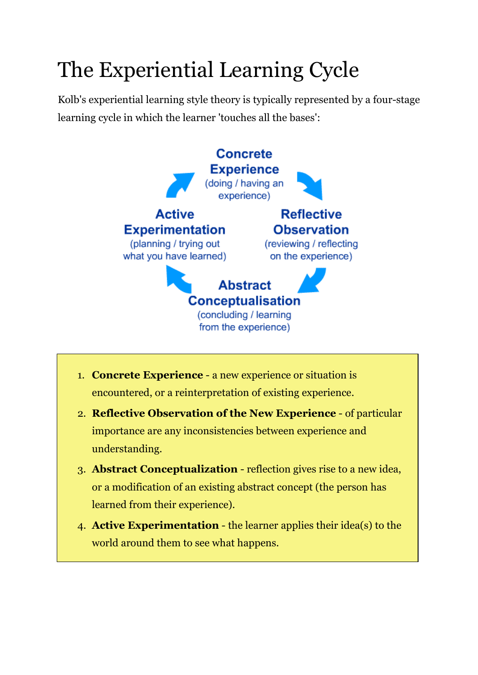# The Experiential Learning Cycle

Kolb's experiential learning style theory is typically represented by a four-stage learning cycle in which the learner 'touches all the bases':



- 1. **Concrete Experience** a new experience or situation is encountered, or a reinterpretation of existing experience.
- 2. **Reflective Observation of the New Experience** of particular importance are any inconsistencies between experience and understanding.
- 3. **Abstract Conceptualization** reflection gives rise to a new idea, or a modification of an existing abstract concept (the person has learned from their experience).
- 4. **Active Experimentation** the learner applies their idea(s) to the world around them to see what happens.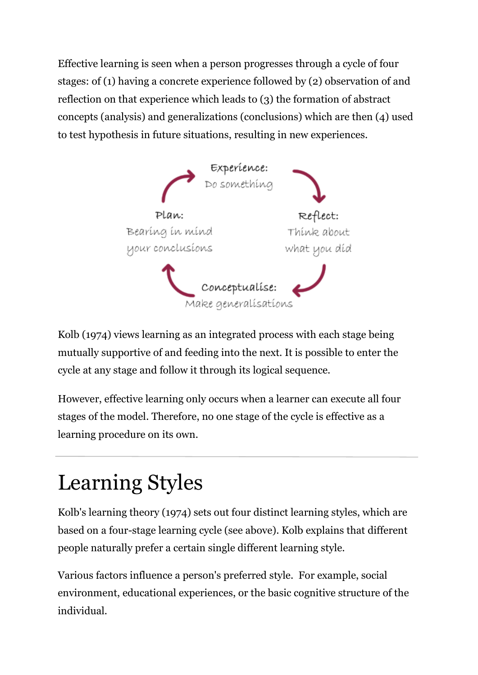Effective learning is seen when a person progresses through a cycle of four stages: of (1) having a concrete experience followed by (2) observation of and reflection on that experience which leads to (3) the formation of abstract concepts (analysis) and generalizations (conclusions) which are then (4) used to test hypothesis in future situations, resulting in new experiences.



Kolb (1974) views learning as an integrated process with each stage being mutually supportive of and feeding into the next. It is possible to enter the cycle at any stage and follow it through its logical sequence.

However, effective learning only occurs when a learner can execute all four stages of the model. Therefore, no one stage of the cycle is effective as a learning procedure on its own.

# Learning Styles

Kolb's learning theory (1974) sets out four distinct learning styles, which are based on a four-stage learning cycle (see above). Kolb explains that different people naturally prefer a certain single different learning style.

Various factors influence a person's preferred style. For example, social environment, educational experiences, or the basic cognitive structure of the individual.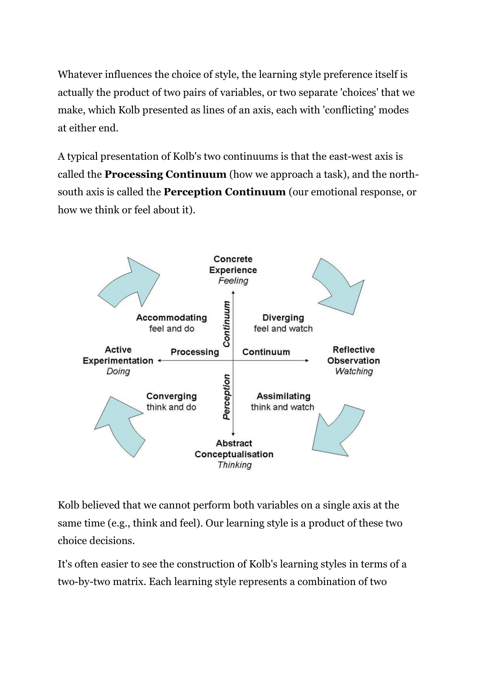Whatever influences the choice of style, the learning style preference itself is actually the product of two pairs of variables, or two separate 'choices' that we make, which Kolb presented as lines of an axis, each with 'conflicting' modes at either end.

A typical presentation of Kolb's two continuums is that the east-west axis is called the **Processing Continuum** (how we approach a task), and the northsouth axis is called the **Perception Continuum** (our emotional response, or how we think or feel about it).



Kolb believed that we cannot perform both variables on a single axis at the same time (e.g., think and feel). Our learning style is a product of these two choice decisions.

It's often easier to see the construction of Kolb's learning styles in terms of a two-by-two matrix. Each learning style represents a combination of two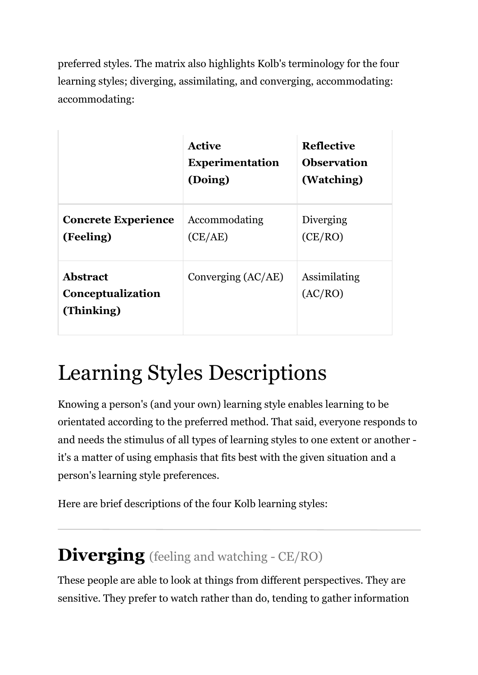preferred styles. The matrix also highlights Kolb's terminology for the four learning styles; diverging, assimilating, and converging, accommodating: accommodating:

|                                                    | <b>Active</b><br><b>Experimentation</b><br>(Doing) | <b>Reflective</b><br><b>Observation</b><br>(Watching) |
|----------------------------------------------------|----------------------------------------------------|-------------------------------------------------------|
| <b>Concrete Experience</b><br>(Feeling)            | Accommodating<br>(CE/AE)                           | Diverging<br>(CE/RO)                                  |
| <b>Abstract</b><br>Conceptualization<br>(Thinking) | Converging (AC/AE)                                 | Assimilating<br>(AC/RO)                               |

### Learning Styles Descriptions

Knowing a person's (and your own) learning style enables learning to be orientated according to the preferred method. That said, everyone responds to and needs the stimulus of all types of learning styles to one extent or another it's a matter of using emphasis that fits best with the given situation and a person's learning style preferences.

Here are brief descriptions of the four Kolb learning styles:

#### **Diverging** (feeling and watching - CE/RO)

These people are able to look at things from different perspectives. They are sensitive. They prefer to watch rather than do, tending to gather information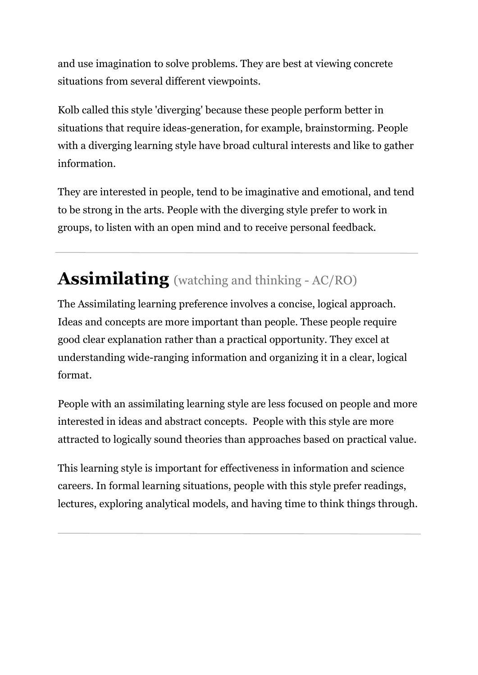and use imagination to solve problems. They are best at viewing concrete situations from several different viewpoints.

Kolb called this style 'diverging' because these people perform better in situations that require ideas-generation, for example, brainstorming. People with a diverging learning style have broad cultural interests and like to gather information.

They are interested in people, tend to be imaginative and emotional, and tend to be strong in the arts. People with the diverging style prefer to work in groups, to listen with an open mind and to receive personal feedback.

### **Assimilating** (watching and thinking - AC/RO)

The Assimilating learning preference involves a concise, logical approach. Ideas and concepts are more important than people. These people require good clear explanation rather than a practical opportunity. They excel at understanding wide-ranging information and organizing it in a clear, logical format.

People with an assimilating learning style are less focused on people and more interested in ideas and abstract concepts. People with this style are more attracted to logically sound theories than approaches based on practical value.

This learning style is important for effectiveness in information and science careers. In formal learning situations, people with this style prefer readings, lectures, exploring analytical models, and having time to think things through.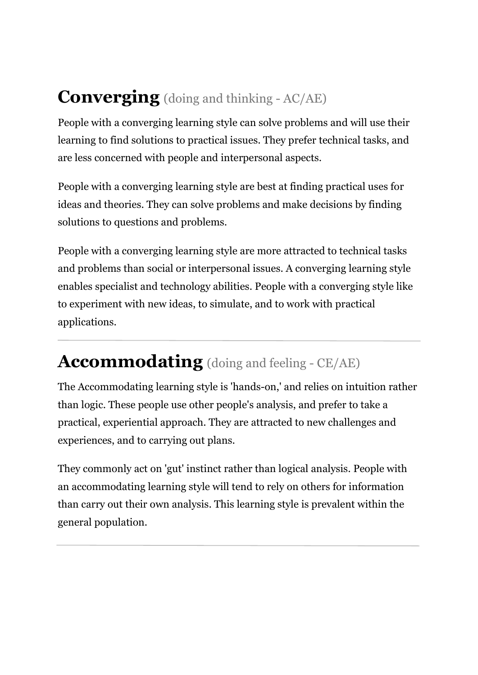#### **Converging** (doing and thinking - AC/AE)

People with a converging learning style can solve problems and will use their learning to find solutions to practical issues. They prefer technical tasks, and are less concerned with people and interpersonal aspects.

People with a converging learning style are best at finding practical uses for ideas and theories. They can solve problems and make decisions by finding solutions to questions and problems.

People with a converging learning style are more attracted to technical tasks and problems than social or interpersonal issues. A converging learning style enables specialist and technology abilities. People with a converging style like to experiment with new ideas, to simulate, and to work with practical applications.

#### **Accommodating** (doing and feeling - CE/AE)

The Accommodating learning style is 'hands-on,' and relies on intuition rather than logic. These people use other people's analysis, and prefer to take a practical, experiential approach. They are attracted to new challenges and experiences, and to carrying out plans.

They commonly act on 'gut' instinct rather than logical analysis. People with an accommodating learning style will tend to rely on others for information than carry out their own analysis. This learning style is prevalent within the general population.